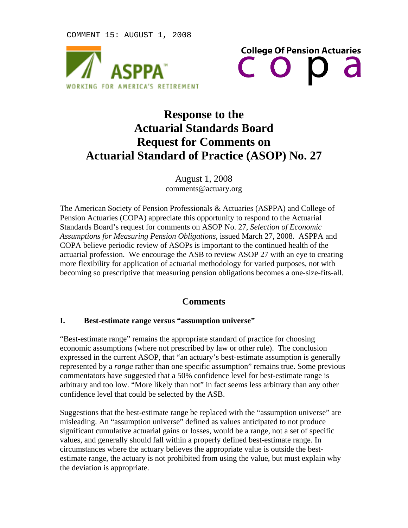COMMENT 15: AUGUST 1, 2008





# **Response to the Actuarial Standards Board Request for Comments on Actuarial Standard of Practice (ASOP) No. 27**

August 1, 2008 comments@actuary.org

The American Society of Pension Professionals & Actuaries (ASPPA) and College of Pension Actuaries (COPA) appreciate this opportunity to respond to the Actuarial Standards Board's request for comments on ASOP No. 27, *Selection of Economic Assumptions for Measuring Pension Obligations,* issued March 27, 2008. ASPPA and COPA believe periodic review of ASOPs is important to the continued health of the actuarial profession. We encourage the ASB to review ASOP 27 with an eye to creating more flexibility for application of actuarial methodology for varied purposes, not with becoming so prescriptive that measuring pension obligations becomes a one-size-fits-all.

## **Comments**

#### **I. Best-estimate range versus "assumption universe"**

"Best-estimate range" remains the appropriate standard of practice for choosing economic assumptions (where not prescribed by law or other rule). The conclusion expressed in the current ASOP, that "an actuary's best-estimate assumption is generally represented by a *range* rather than one specific assumption" remains true. Some previous commentators have suggested that a 50% confidence level for best-estimate range is arbitrary and too low. "More likely than not" in fact seems less arbitrary than any other confidence level that could be selected by the ASB.

Suggestions that the best-estimate range be replaced with the "assumption universe" are misleading. An "assumption universe" defined as values anticipated to not produce significant cumulative actuarial gains or losses, would be a range, not a set of specific values, and generally should fall within a properly defined best-estimate range. In circumstances where the actuary believes the appropriate value is outside the bestestimate range, the actuary is not prohibited from using the value, but must explain why the deviation is appropriate.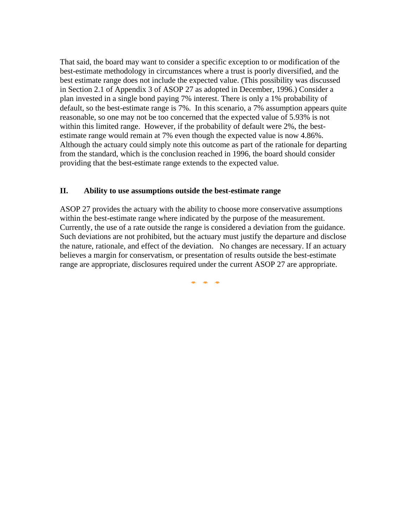That said, the board may want to consider a specific exception to or modification of the best-estimate methodology in circumstances where a trust is poorly diversified, and the best estimate range does not include the expected value. (This possibility was discussed in Section 2.1 of Appendix 3 of ASOP 27 as adopted in December, 1996.) Consider a plan invested in a single bond paying 7% interest. There is only a 1% probability of default, so the best-estimate range is 7%. In this scenario, a 7% assumption appears quite reasonable, so one may not be too concerned that the expected value of 5.93% is not within this limited range. However, if the probability of default were 2%, the bestestimate range would remain at 7% even though the expected value is now 4.86%. Although the actuary could simply note this outcome as part of the rationale for departing from the standard, which is the conclusion reached in 1996, the board should consider providing that the best-estimate range extends to the expected value.

### **II. Ability to use assumptions outside the best-estimate range**

ASOP 27 provides the actuary with the ability to choose more conservative assumptions within the best-estimate range where indicated by the purpose of the measurement. Currently, the use of a rate outside the range is considered a deviation from the guidance. Such deviations are not prohibited, but the actuary must justify the departure and disclose the nature, rationale, and effect of the deviation. No changes are necessary. If an actuary believes a margin for conservatism, or presentation of results outside the best-estimate range are appropriate, disclosures required under the current ASOP 27 are appropriate.

¢ ¢ ¢